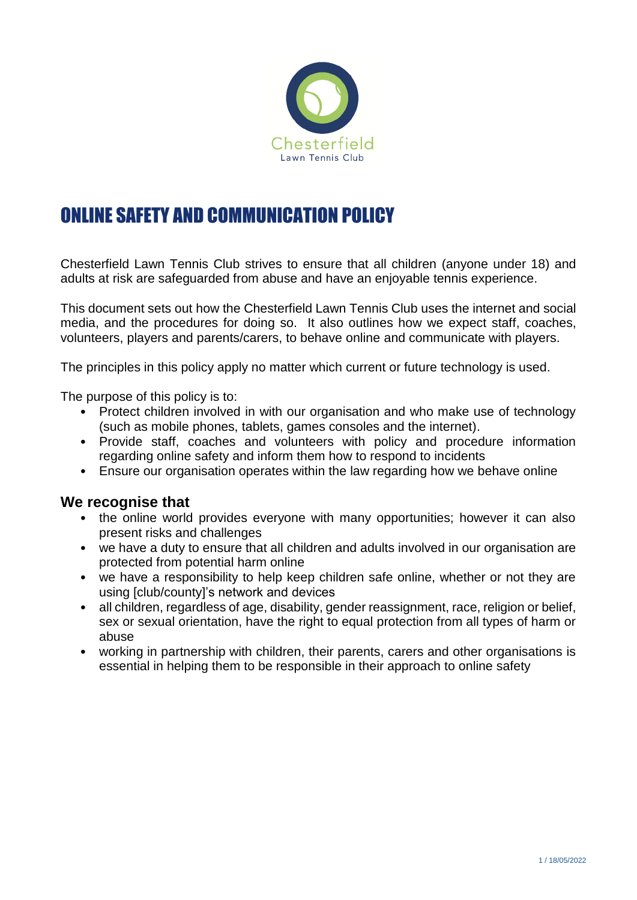

# ONLINE SAFETY AND COMMUNICATION POLICY

Chesterfield Lawn Tennis Club strives to ensure that all children (anyone under 18) and adults at risk are safeguarded from abuse and have an enjoyable tennis experience.

This document sets out how the Chesterfield Lawn Tennis Club uses the internet and social media, and the procedures for doing so. It also outlines how we expect staff, coaches, volunteers, players and parents/carers, to behave online and communicate with players.

The principles in this policy apply no matter which current or future technology is used.

The purpose of this policy is to:

- Protect children involved in with our organisation and who make use of technology (such as mobile phones, tablets, games consoles and the internet).
- Provide staff, coaches and volunteers with policy and procedure information regarding online safety and inform them how to respond to incidents
- Ensure our organisation operates within the law regarding how we behave online

#### **We recognise that**

- the online world provides everyone with many opportunities; however it can also present risks and challenges
- we have a duty to ensure that all children and adults involved in our organisation are protected from potential harm online
- we have a responsibility to help keep children safe online, whether or not they are using [club/county]'s network and devices
- all children, regardless of age, disability, gender reassignment, race, religion or belief, sex or sexual orientation, have the right to equal protection from all types of harm or abuse
- working in partnership with children, their parents, carers and other organisations is essential in helping them to be responsible in their approach to online safety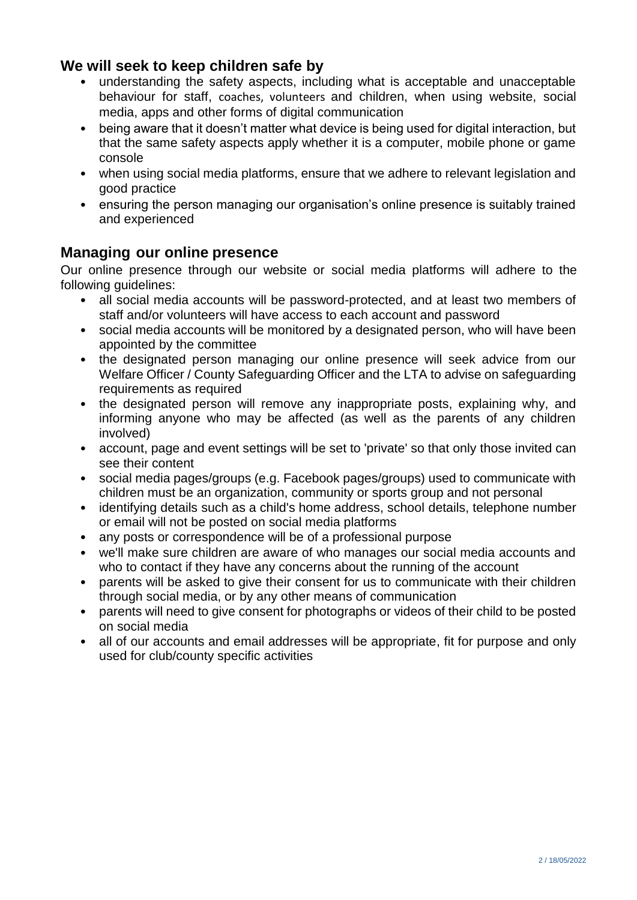## **We will seek to keep children safe by**

- understanding the safety aspects, including what is acceptable and unacceptable behaviour for staff, coaches, volunteers and children, when using website, social media, apps and other forms of digital communication
- being aware that it doesn't matter what device is being used for digital interaction, but that the same safety aspects apply whether it is a computer, mobile phone or game console
- when using social media platforms, ensure that we adhere to relevant legislation and good practice
- ensuring the person managing our organisation's online presence is suitably trained and experienced

## **Managing our online presence**

Our online presence through our website or social media platforms will adhere to the following guidelines:

- all social media accounts will be password-protected, and at least two members of staff and/or volunteers will have access to each account and password
- social media accounts will be monitored by a designated person, who will have been appointed by the committee
- the designated person managing our online presence will seek advice from our Welfare Officer / County Safeguarding Officer and the LTA to advise on safeguarding requirements as required
- the designated person will remove any inappropriate posts, explaining why, and informing anyone who may be affected (as well as the parents of any children involved)
- account, page and event settings will be set to 'private' so that only those invited can see their content
- social media pages/groups (e.g. Facebook pages/groups) used to communicate with children must be an organization, community or sports group and not personal
- identifying details such as a child's home address, school details, telephone number or email will not be posted on social media platforms
- any posts or correspondence will be of a professional purpose
- we'll make sure children are aware of who manages our social media accounts and who to contact if they have any concerns about the running of the account
- parents will be asked to give their consent for us to communicate with their children through social media, or by any other means of communication
- parents will need to give consent for photographs or videos of their child to be posted on social media
- all of our accounts and email addresses will be appropriate, fit for purpose and only used for club/county specific activities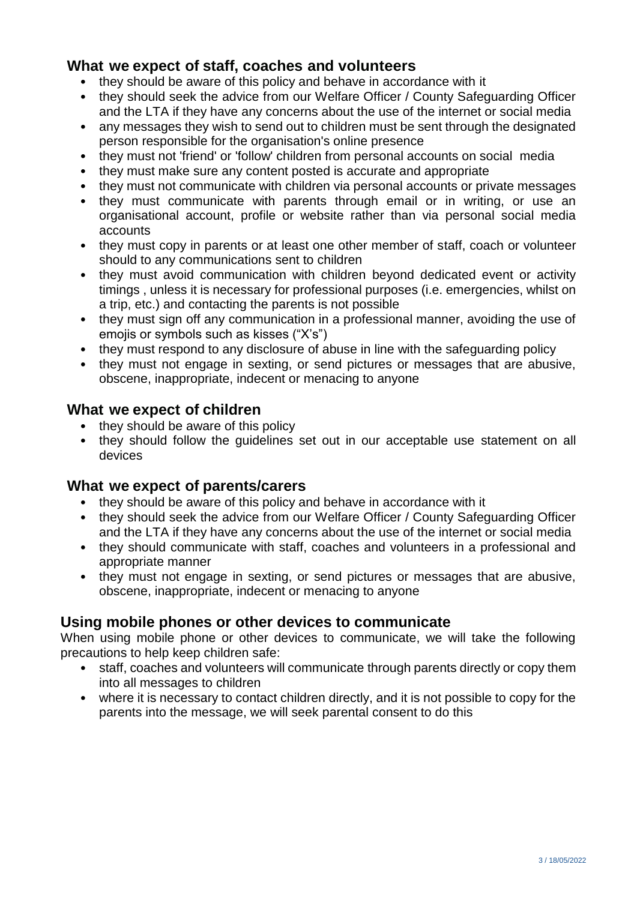## **What we expect of staff, coaches and volunteers**

- they should be aware of this policy and behave in accordance with it
- they should seek the advice from our Welfare Officer / County Safeguarding Officer and the LTA if they have any concerns about the use of the internet or social media
- any messages they wish to send out to children must be sent through the designated person responsible for the organisation's online presence
- they must not 'friend' or 'follow' children from personal accounts on social media
- they must make sure any content posted is accurate and appropriate
- they must not communicate with children via personal accounts or private messages
- they must communicate with parents through email or in writing, or use an organisational account, profile or website rather than via personal social media accounts
- they must copy in parents or at least one other member of staff, coach or volunteer should to any communications sent to children
- they must avoid communication with children beyond dedicated event or activity timings , unless it is necessary for professional purposes (i.e. emergencies, whilst on a trip, etc.) and contacting the parents is not possible
- they must sign off any communication in a professional manner, avoiding the use of emojis or symbols such as kisses ("X's")
- they must respond to any disclosure of abuse in line with the safeguarding policy
- they must not engage in sexting, or send pictures or messages that are abusive, obscene, inappropriate, indecent or menacing to anyone

#### **What we expect of children**

- they should be aware of this policy
- they should follow the quidelines set out in our acceptable use statement on all devices

#### **What we expect of parents/carers**

- they should be aware of this policy and behave in accordance with it
- they should seek the advice from our Welfare Officer / County Safeguarding Officer and the LTA if they have any concerns about the use of the internet or social media
- they should communicate with staff, coaches and volunteers in a professional and appropriate manner
- they must not engage in sexting, or send pictures or messages that are abusive, obscene, inappropriate, indecent or menacing to anyone

## **Using mobile phones or other devices to communicate**

When using mobile phone or other devices to communicate, we will take the following precautions to help keep children safe:

- staff, coaches and volunteers will communicate through parents directly or copy them into all messages to children
- where it is necessary to contact children directly, and it is not possible to copy for the parents into the message, we will seek parental consent to do this